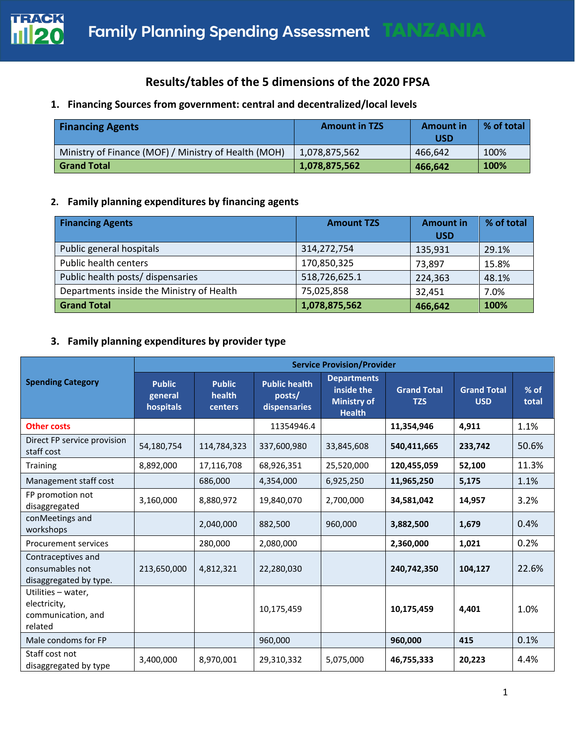

## **Results/tables of the 5 dimensions of the 2020 FPSA**

## **1. Financing Sources from government: central and decentralized/local levels**

| <b>Financing Agents</b>                              | <b>Amount in TZS</b> | <b>Amount in</b><br><b>USD</b> | % of total |
|------------------------------------------------------|----------------------|--------------------------------|------------|
| Ministry of Finance (MOF) / Ministry of Health (MOH) | 1,078,875,562        | 466.642                        | 100%       |
| <b>Grand Total</b>                                   | 1,078,875,562        | 466,642                        | 100%       |

### **2. Family planning expenditures by financing agents**

| <b>Financing Agents</b>                   | <b>Amount TZS</b> | <b>Amount in</b><br><b>USD</b> | % of total |
|-------------------------------------------|-------------------|--------------------------------|------------|
| Public general hospitals                  | 314,272,754       | 135.931                        | 29.1%      |
| Public health centers                     | 170,850,325       | 73,897                         | 15.8%      |
| Public health posts/ dispensaries         | 518,726,625.1     | 224,363                        | 48.1%      |
| Departments inside the Ministry of Health | 75,025,858        | 32,451                         | 7.0%       |
| <b>Grand Total</b>                        | 1,078,875,562     | 466,642                        | 100%       |

## **3. Family planning expenditures by provider type**

|                                                                     | <b>Service Provision/Provider</b>     |                                    |                                                |                                                                         |                                  |                                  |                 |
|---------------------------------------------------------------------|---------------------------------------|------------------------------------|------------------------------------------------|-------------------------------------------------------------------------|----------------------------------|----------------------------------|-----------------|
| <b>Spending Category</b>                                            | <b>Public</b><br>general<br>hospitals | <b>Public</b><br>health<br>centers | <b>Public health</b><br>posts/<br>dispensaries | <b>Departments</b><br>inside the<br><b>Ministry of</b><br><b>Health</b> | <b>Grand Total</b><br><b>TZS</b> | <b>Grand Total</b><br><b>USD</b> | $%$ of<br>total |
| <b>Other costs</b>                                                  |                                       |                                    | 11354946.4                                     |                                                                         | 11,354,946                       | 4,911                            | 1.1%            |
| Direct FP service provision<br>staff cost                           | 54,180,754                            | 114,784,323                        | 337,600,980                                    | 33,845,608                                                              | 540,411,665                      | 233,742                          | 50.6%           |
| Training                                                            | 8,892,000                             | 17,116,708                         | 68,926,351                                     | 25,520,000                                                              | 120,455,059                      | 52,100                           | 11.3%           |
| Management staff cost                                               |                                       | 686,000                            | 4,354,000                                      | 6,925,250                                                               | 11,965,250                       | 5,175                            | 1.1%            |
| FP promotion not<br>disaggregated                                   | 3,160,000                             | 8,880,972                          | 19,840,070                                     | 2,700,000                                                               | 34,581,042                       | 14,957                           | 3.2%            |
| conMeetings and<br>workshops                                        |                                       | 2,040,000                          | 882,500                                        | 960,000                                                                 | 3,882,500                        | 1,679                            | 0.4%            |
| <b>Procurement services</b>                                         |                                       | 280,000                            | 2,080,000                                      |                                                                         | 2,360,000                        | 1,021                            | 0.2%            |
| Contraceptives and<br>consumables not<br>disaggregated by type.     | 213,650,000                           | 4,812,321                          | 22,280,030                                     |                                                                         | 240,742,350                      | 104,127                          | 22.6%           |
| Utilities - water,<br>electricity,<br>communication, and<br>related |                                       |                                    | 10,175,459                                     |                                                                         | 10,175,459                       | 4,401                            | 1.0%            |
| Male condoms for FP                                                 |                                       |                                    | 960,000                                        |                                                                         | 960,000                          | 415                              | 0.1%            |
| Staff cost not<br>disaggregated by type                             | 3,400,000                             | 8,970,001                          | 29,310,332                                     | 5,075,000                                                               | 46,755,333                       | 20,223                           | 4.4%            |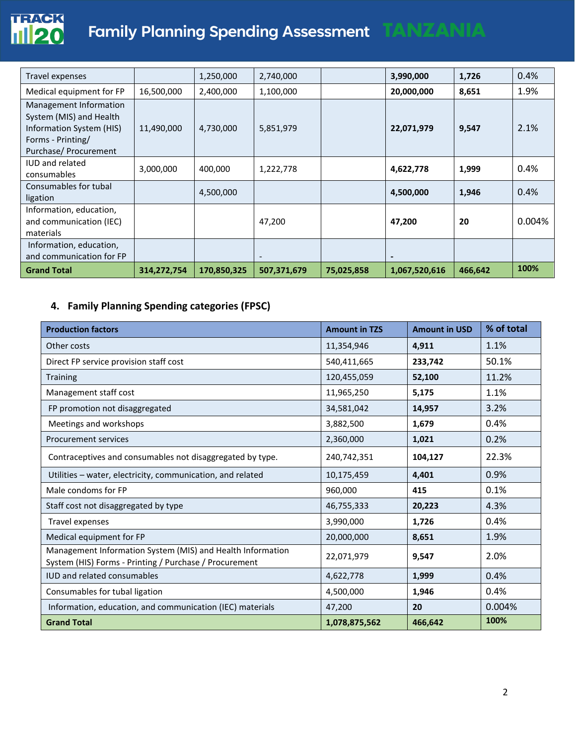

# **Family Planning Spending Assessment TANZANIA**

| Travel expenses                                                                                                             |             | 1,250,000   | 2,740,000   |            | 3,990,000     | 1,726   | 0.4%   |
|-----------------------------------------------------------------------------------------------------------------------------|-------------|-------------|-------------|------------|---------------|---------|--------|
| Medical equipment for FP                                                                                                    | 16,500,000  | 2,400,000   | 1,100,000   |            | 20,000,000    | 8,651   | 1.9%   |
| Management Information<br>System (MIS) and Health<br>Information System (HIS)<br>Forms - Printing/<br>Purchase/ Procurement | 11,490,000  | 4,730,000   | 5,851,979   |            | 22,071,979    | 9,547   | 2.1%   |
| <b>IUD</b> and related<br>consumables                                                                                       | 3,000,000   | 400,000     | 1,222,778   |            | 4,622,778     | 1,999   | 0.4%   |
| Consumables for tubal<br>ligation                                                                                           |             | 4,500,000   |             |            | 4,500,000     | 1,946   | 0.4%   |
| Information, education,<br>and communication (IEC)<br>materials                                                             |             |             | 47,200      |            | 47,200        | 20      | 0.004% |
| Information, education,<br>and communication for FP                                                                         |             |             |             |            |               |         |        |
| <b>Grand Total</b>                                                                                                          | 314,272,754 | 170,850,325 | 507,371,679 | 75,025,858 | 1,067,520,616 | 466,642 | 100%   |

## **4. Family Planning Spending categories (FPSC)**

| <b>Production factors</b>                                                                                            | <b>Amount in TZS</b> | <b>Amount in USD</b> | % of total |
|----------------------------------------------------------------------------------------------------------------------|----------------------|----------------------|------------|
| Other costs                                                                                                          | 11,354,946           | 4,911                | 1.1%       |
| Direct FP service provision staff cost                                                                               | 540,411,665          | 233,742              | 50.1%      |
| <b>Training</b>                                                                                                      | 120,455,059          | 52,100               | 11.2%      |
| Management staff cost                                                                                                | 11,965,250           | 5,175                | 1.1%       |
| FP promotion not disaggregated                                                                                       | 34,581,042           | 14,957               | 3.2%       |
| Meetings and workshops                                                                                               | 3,882,500            | 1,679                | 0.4%       |
| Procurement services                                                                                                 | 2,360,000            | 1,021                | 0.2%       |
| Contraceptives and consumables not disaggregated by type.                                                            | 240,742,351          | 104,127              | 22.3%      |
| Utilities – water, electricity, communication, and related                                                           | 10,175,459           | 4,401                | 0.9%       |
| Male condoms for FP                                                                                                  | 960,000              | 415                  | 0.1%       |
| Staff cost not disaggregated by type                                                                                 | 46,755,333           | 20,223               | 4.3%       |
| Travel expenses                                                                                                      | 3,990,000            | 1,726                | 0.4%       |
| Medical equipment for FP                                                                                             | 20,000,000           | 8,651                | 1.9%       |
| Management Information System (MIS) and Health Information<br>System (HIS) Forms - Printing / Purchase / Procurement | 22,071,979           | 9,547                | 2.0%       |
| <b>IUD and related consumables</b>                                                                                   | 4,622,778            | 1,999                | 0.4%       |
| Consumables for tubal ligation                                                                                       | 4,500,000            | 1,946                | 0.4%       |
| Information, education, and communication (IEC) materials                                                            | 47,200               | 20                   | 0.004%     |
| <b>Grand Total</b>                                                                                                   | 1,078,875,562        | 466,642              | 100%       |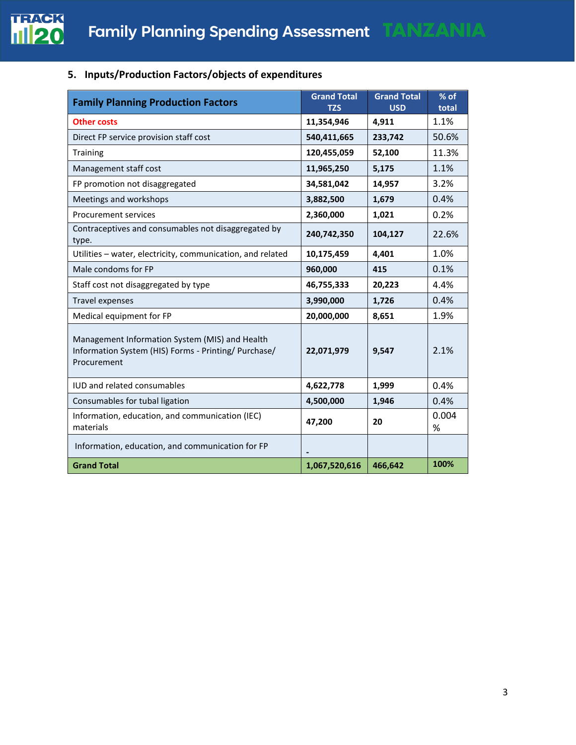

## **5. Inputs/Production Factors/objects of expenditures**

| <b>Family Planning Production Factors</b>                                                                             | <b>Grand Total</b><br><b>TZS</b> | <b>Grand Total</b><br><b>USD</b> | $%$ of<br>total |
|-----------------------------------------------------------------------------------------------------------------------|----------------------------------|----------------------------------|-----------------|
| <b>Other costs</b>                                                                                                    | 11,354,946                       | 4,911                            | 1.1%            |
| Direct FP service provision staff cost                                                                                | 540,411,665                      | 233,742                          | 50.6%           |
| <b>Training</b>                                                                                                       | 120,455,059                      | 52,100                           | 11.3%           |
| Management staff cost                                                                                                 | 11,965,250                       | 5,175                            | 1.1%            |
| FP promotion not disaggregated                                                                                        | 34,581,042                       | 14,957                           | 3.2%            |
| Meetings and workshops                                                                                                | 3,882,500                        | 1,679                            | 0.4%            |
| <b>Procurement services</b>                                                                                           | 2,360,000                        | 1,021                            | 0.2%            |
| Contraceptives and consumables not disaggregated by<br>type.                                                          | 240,742,350                      | 104,127                          | 22.6%           |
| Utilities - water, electricity, communication, and related                                                            | 10,175,459                       | 4,401                            | 1.0%            |
| Male condoms for FP                                                                                                   | 960,000                          | 415                              | 0.1%            |
| Staff cost not disaggregated by type                                                                                  | 46,755,333                       | 20,223                           | 4.4%            |
| <b>Travel expenses</b>                                                                                                | 3,990,000                        | 1,726                            | 0.4%            |
| Medical equipment for FP                                                                                              | 20,000,000                       | 8,651                            | 1.9%            |
| Management Information System (MIS) and Health<br>Information System (HIS) Forms - Printing/ Purchase/<br>Procurement | 22,071,979                       | 9,547                            | 2.1%            |
| <b>IUD and related consumables</b>                                                                                    | 4,622,778                        | 1,999                            | 0.4%            |
| Consumables for tubal ligation                                                                                        | 4,500,000                        | 1,946                            | 0.4%            |
| Information, education, and communication (IEC)<br>materials                                                          | 47,200                           | 20                               | 0.004<br>%      |
| Information, education, and communication for FP                                                                      |                                  |                                  |                 |
| <b>Grand Total</b>                                                                                                    | 1,067,520,616                    | 466,642                          | 100%            |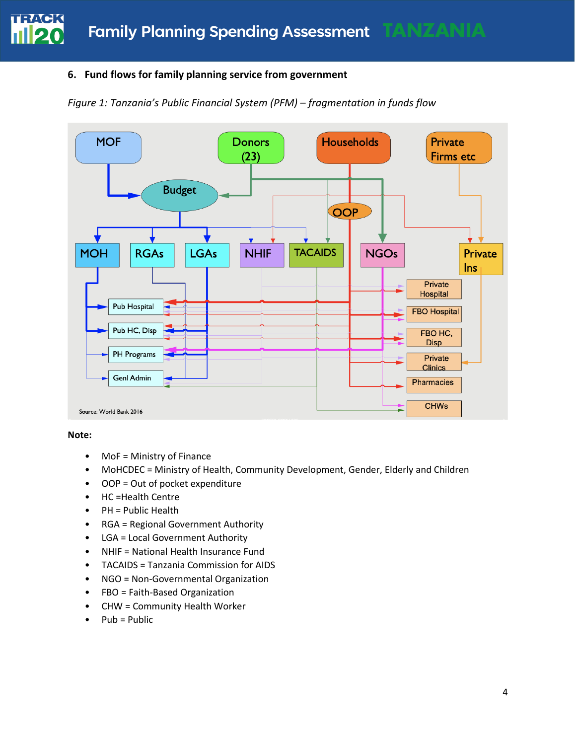## **6. Fund flows for family planning service from government**

## *Figure 1: Tanzania's Public Financial System (PFM) – fragmentation in funds flow*



#### **Note:**

- MoF = Ministry of Finance
- MoHCDEC = Ministry of Health, Community Development, Gender, Elderly and Children
- OOP = Out of pocket expenditure
- HC =Health Centre
- PH = Public Health
- RGA = Regional Government Authority
- LGA = Local Government Authority
- NHIF = National Health Insurance Fund
- TACAIDS = Tanzania Commission for AIDS
- NGO = Non-Governmental Organization
- FBO = Faith-Based Organization
- CHW = Community Health Worker
- Pub = Public